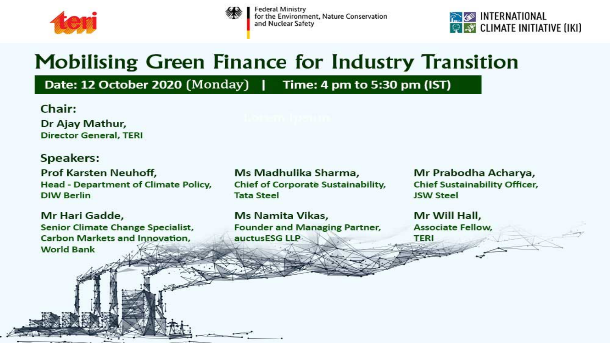

| Federal Ministry<br>for the Environment, Nature Conservation |
|--------------------------------------------------------------|
|                                                              |
| and Nuclear Safety                                           |



## **Mobilising Green Finance for Industry Transition**

### Date: 12 October 2020 (Monday) | Time: 4 pm to 5:30 pm (IST)

Chair: Dr Ajay Mathur, **Director General, TERI** 

#### **Speakers:**

Prof Karsten Neuhoff, **Head - Department of Climate Policy, DIW Berlin** 

Mr Hari Gadde, **Senior Climate Change Specialist, Carbon Markets and Innovation, World Bank** 

Ms Madhulika Sharma, **Chief of Corporate Sustainability, Tata Steel** 

Ms Namita Vikas, **Founder and Managing Partner,** auctusESG LLP

Mr Prabodha Acharya, **Chief Sustainability Officer, JSW Steel** 

Mr Will Hall, **Associate Fellow, TERI**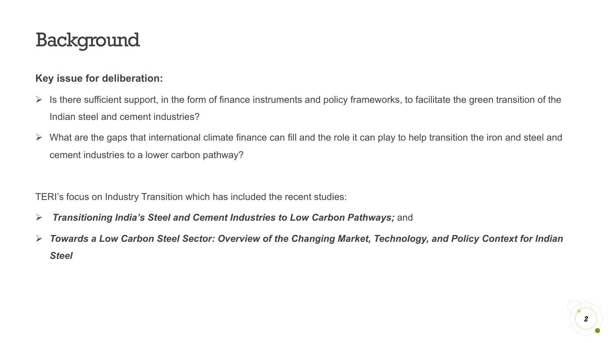### Background

#### **Key issue for deliberation:**

- $\triangleright$  Is there sufficient support, in the form of finance instruments and policy frameworks, to facilitate the green transition of the Indian steel and cement industries?
- $\triangleright$  What are the gaps that international climate finance can fill and the role it can play to help transition the iron and steel and cement industries to a lower carbon pathway?

TERI's focus on Industry Transition which has included the recent studies:

- Ø *Transitioning India's Steel and Cement Industries to Low Carbon Pathways;* and
- Ø *Towards a Low Carbon Steel Sector: Overview of the Changing Market, Technology, and Policy Context for Indian Steel*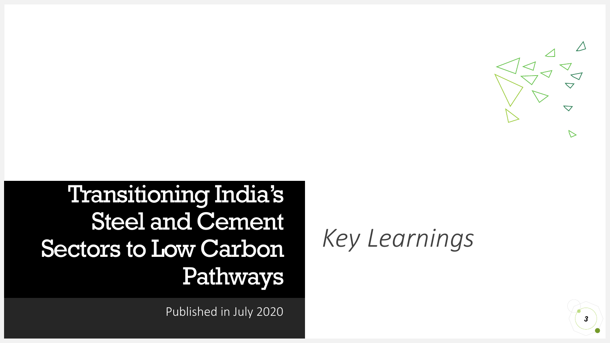

Transitioning India's Steel and Cement Sectors to Low Carbon Pathways

Published in July 2020

# *Key Learnings*

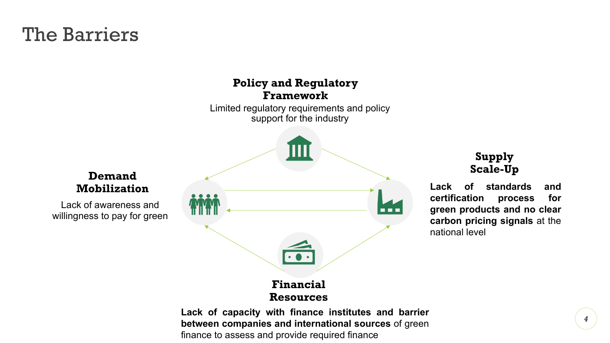### The Barriers

#### **Policy and Regulatory Framework**

Limited regulatory requirements and policy support for the industry



#### **Supply Scale-Up**

**Lack of standards and certification process for green products and no clear carbon pricing signals** at the national level

**Lack of capacity with finance institutes and barrier between companies and international sources** of green finance to assess and provide required finance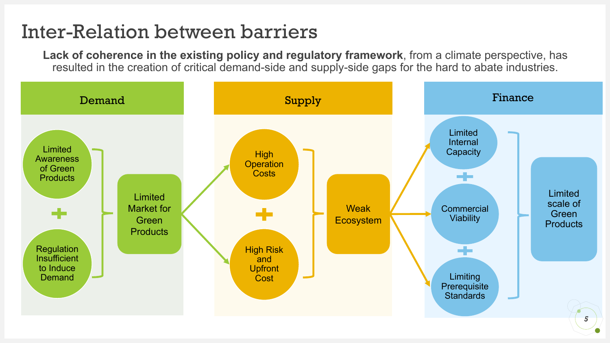### Inter-Relation between barriers

**Lack of coherence in the existing policy and regulatory framework**, from a climate perspective, has resulted in the creation of critical demand-side and supply-side gaps for the hard to abate industries.

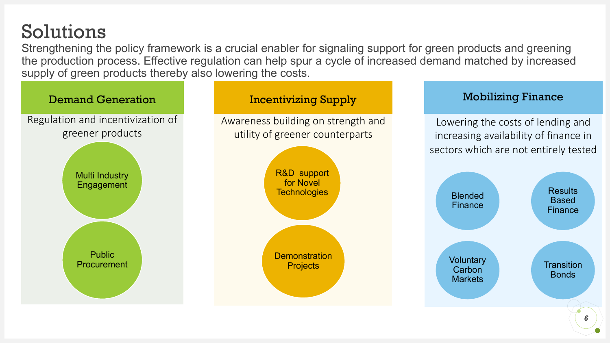Solutions

Strengthening the policy framework is a crucial enabler for signaling support for green products and greening the production process. Effective regulation can help spur a cycle of increased demand matched by increased supply of green products thereby also lowering the costs.

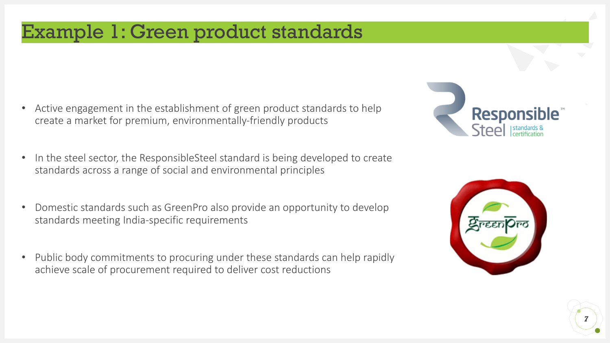### Example 1: Green product standards

- Active engagement in the establishment of green product standards to help create a market for premium, environmentally-friendly products
- In the steel sector, the ResponsibleSteel standard is being developed to create standards across a range of social and environmental principles
- Domestic standards such as GreenPro also provide an opportunity to develop standards meeting India-specific requirements
- Public body commitments to procuring under these standards can help rapidly achieve scale of procurement required to deliver cost reductions





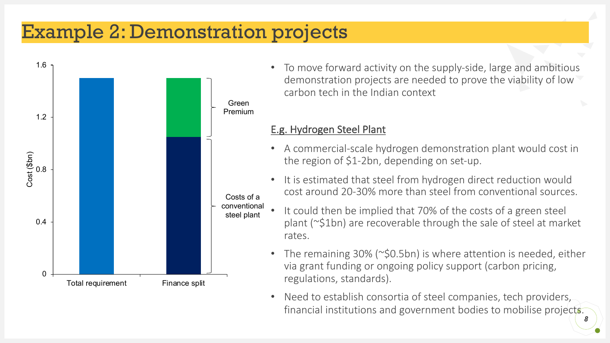### Example 2: Demonstration projects



• To move forward activity on the supply-side, large and ambitious demonstration projects are needed to prove the viability of low carbon tech in the Indian context

#### E.g. Hydrogen Steel Plant

- A commercial-scale hydrogen demonstration plant would cost in the region of \$1-2bn, depending on set-up.
- It is estimated that steel from hydrogen direct reduction would cost around 20-30% more than steel from conventional sources.
- It could then be implied that 70% of the costs of a green steel plant (~\$1bn) are recoverable through the sale of steel at market rates.
- The remaining 30% (~\$0.5bn) is where attention is needed, either via grant funding or ongoing policy support (carbon pricing, regulations, standards).
- Need to establish consortia of steel companies, tech providers, financial institutions and government bodies to mobilise projects. *8*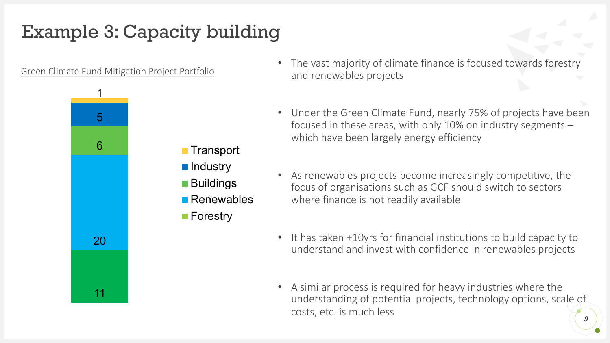### Example 3: Capacity building

Green Climate Fund Mitigation Project Portfolio



- The vast majority of climate finance is focused towards forestry and renewables projects
- Under the Green Climate Fund, nearly 75% of projects have been focused in these areas, with only 10% on industry segments – which have been largely energy efficiency
- As renewables projects become increasingly competitive, the focus of organisations such as GCF should switch to sectors where finance is not readily available
- It has taken +10yrs for financial institutions to build capacity to understand and invest with confidence in renewables projects
- A similar process is required for heavy industries where the understanding of potential projects, technology options, scale of costs, etc. is much less